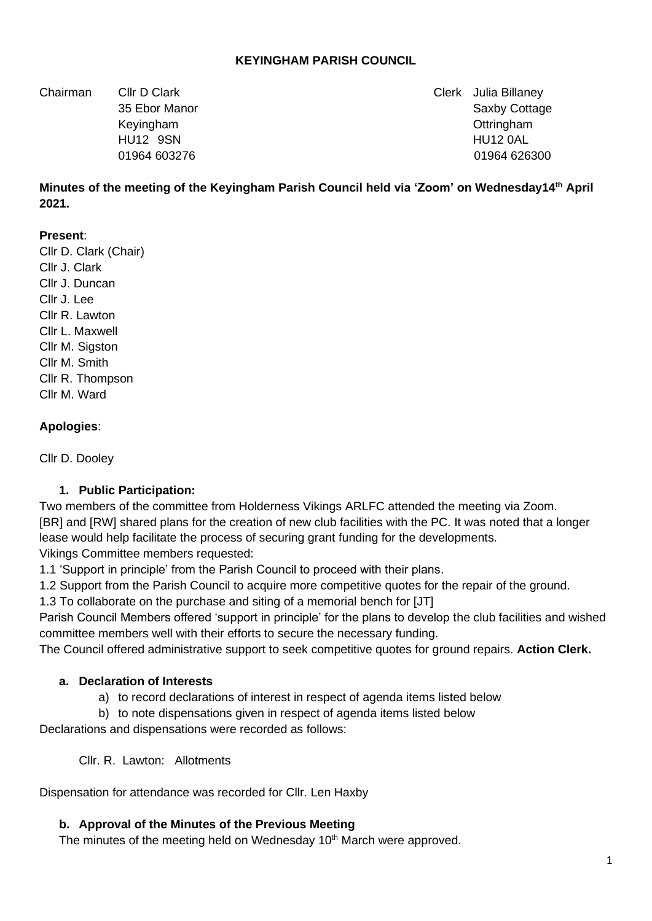### **KEYINGHAM PARISH COUNCIL**

Chairman Cllr D Clark Clerk Julia Billaney

35 Ebor Manor Saxby Cottage 35 Ebor Manor Saxby Cottage 35 Ebor Manor Saxby Cottage Keyingham Ottringham HU12 9SN HU12 0AL 01964 603276 01964 026300

**Minutes of the meeting of the Keyingham Parish Council held via 'Zoom' on Wednesday14th April 2021.**

#### **Present**:

Cllr D. Clark (Chair) Cllr J. Clark Cllr J. Duncan Cllr J. Lee Cllr R. Lawton Cllr L. Maxwell Cllr M. Sigston Cllr M. Smith Cllr R. Thompson Cllr M. Ward

#### **Apologies**:

Cllr D. Dooley

#### **1. Public Participation:**

Two members of the committee from Holderness Vikings ARLFC attended the meeting via Zoom. [BR] and [RW] shared plans for the creation of new club facilities with the PC. It was noted that a longer lease would help facilitate the process of securing grant funding for the developments.

Vikings Committee members requested:

1.1 'Support in principle' from the Parish Council to proceed with their plans.

1.2 Support from the Parish Council to acquire more competitive quotes for the repair of the ground.

1.3 To collaborate on the purchase and siting of a memorial bench for [JT]

Parish Council Members offered 'support in principle' for the plans to develop the club facilities and wished committee members well with their efforts to secure the necessary funding.

The Council offered administrative support to seek competitive quotes for ground repairs. **Action Clerk.**

#### **a. Declaration of Interests**

- a) to record declarations of interest in respect of agenda items listed below
- b) to note dispensations given in respect of agenda items listed below

Declarations and dispensations were recorded as follows:

Cllr. R. Lawton: Allotments

Dispensation for attendance was recorded for Cllr. Len Haxby

### **b. Approval of the Minutes of the Previous Meeting**

The minutes of the meeting held on Wednesday 10<sup>th</sup> March were approved.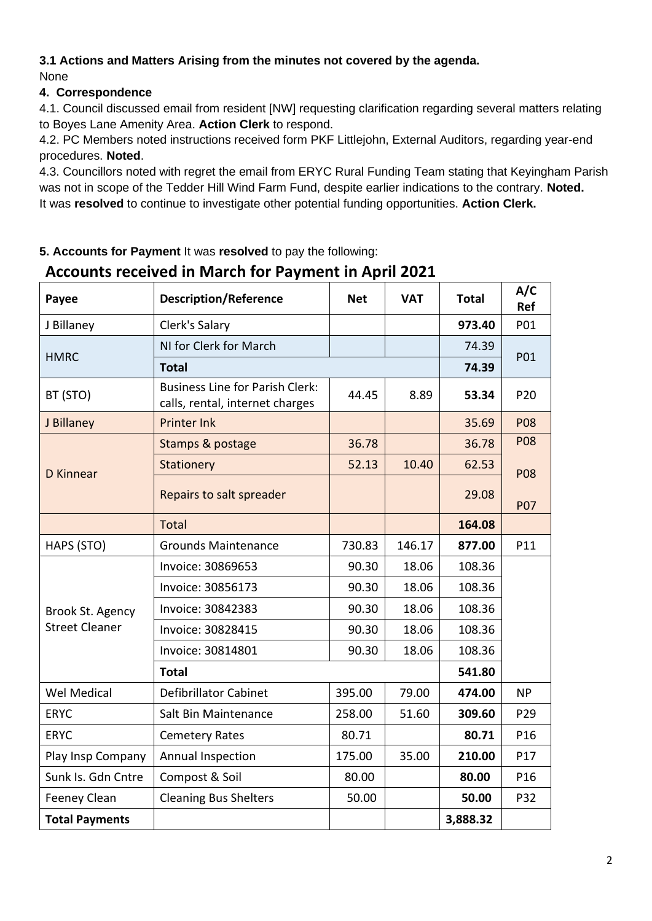### **3.1 Actions and Matters Arising from the minutes not covered by the agenda.** None

### **4. Correspondence**

4.1. Council discussed email from resident [NW] requesting clarification regarding several matters relating to Boyes Lane Amenity Area. **Action Clerk** to respond.

4.2. PC Members noted instructions received form PKF Littlejohn, External Auditors, regarding year-end procedures. **Noted**.

4.3. Councillors noted with regret the email from ERYC Rural Funding Team stating that Keyingham Parish was not in scope of the Tedder Hill Wind Farm Fund, despite earlier indications to the contrary. **Noted.** It was **resolved** to continue to investigate other potential funding opportunities. **Action Clerk.**

### **5. Accounts for Payment** It was **resolved** to pay the following:

## **Payee Description/Reference Net VAT Total A/C Ref** J Billaney Clerk's Salary **973.40** P01 **HMRC** NI for Clerk for March 74.39 P<sub>01</sub> **Total 74.39**  BT (STO) Business Line for Parish Clerk: calls, rental, internet charges 44.45 8.89 **53.34** P20 J Billaney Printer Ink (1990) 2008 [19] PO8 D Kinnear Stamps & postage 36.78 36.78 P08 P08 P07 Stationery 152.13 10.40 62.53 Repairs to salt spreader  $\vert$  | 29.08 Total **164.08**  HAPS (STO) Grounds Maintenance 730.83 146.17 **877.00** P11 Brook St. Agency Street Cleaner Invoice: 30869653 | 90.30 | 18.06 | 108.36 Invoice: 30856173 | 90.30 | 18.06 | 108.36 Invoice: 30842383 108.30 | 90.30 | 18.06 | 108.36 Invoice: 30828415 90.30 18.06 108.36 Invoice: 30814801 190.30 | 18.06 | 108.36 **Total 541.80**  Wel Medical Defibrillator Cabinet 395.00 79.00 **474.00** NP ERYC Salt Bin Maintenance 258.00 51.60 **309.60** P29 ERYC | Cemetery Rates | 80.71 | 80.71 | P16 Play Insp Company | Annual Inspection | 175.00 | 35.00 | 210.00 | P17 Sunk Is. Gdn Cntre Compost & Soil **80.00** 80.00 **80.00** P16 Feeney Clean Cleaning Bus Shelters 50.00 **50.00** P32 **Total Payments 3,888.32**

# **Accounts received in March for Payment in April 2021**